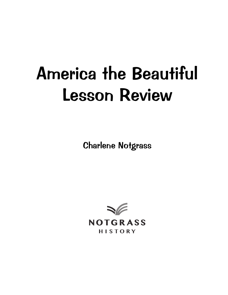# America the Beautiful Lesson Review

Charlene Notgrass

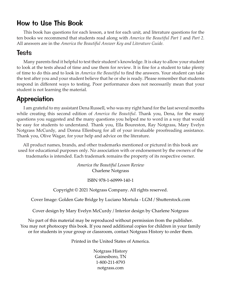# How to Use This Book

This book has questions for each lesson, a test for each unit, and literature questions for the ten books we recommend that students read along with *America the Beautiful Part 1* and *Part 2.*  All answers are in the *America the Beautiful Answer Key and Literature Guide.*

#### Tests

Many parents find it helpful to test their student's knowledge. It is okay to allow your student to look at the tests ahead of time and use them for review. It is fine for a student to take plenty of time to do this and to look in *America the Beautiful* to find the answers. Your student can take the test after you and your student believe that he or she is ready. Please remember that students respond in different ways to testing. Poor performance does not necessarily mean that your student is not learning the material.

# **Appreciation**

I am grateful to my assistant Dena Russell, who was my right hand for the last several months while creating this second edition of *America the Beautiful*. Thank you, Dena, for the many questions you suggested and the many questions you helped me to word in a way that would be easy for students to understand. Thank you, Ella Boureston, Ray Notgrass, Mary Evelyn Notgrass McCurdy, and Donna Ellenburg for all of your invaluable proofreading assistance. Thank you, Olive Wagar, for your help and advice on the literature.

All product names, brands, and other trademarks mentioned or pictured in this book are used for educational purposes only. No association with or endorsement by the owners of the trademarks is intended. Each trademark remains the property of its respective owner.

> *America the Beautiful Lesson Review* Charlene Notgrass

> > ISBN 978-1-60999-140-1

Copyright © 2021 Notgrass Company. All rights reserved.

Cover Image: Golden Gate Bridge by Luciano Mortula - LGM / Shutterstock.com

Cover design by Mary Evelyn McCurdy / Interior design by Charlene Notgrass

No part of this material may be reproduced without permission from the publisher. You may not photocopy this book. If you need additional copies for children in your family or for students in your group or classroom, contact Notgrass History to order them.

Printed in the United States of America.

Notgrass History Gainesboro, TN 1-800-211-8793 notgrass.com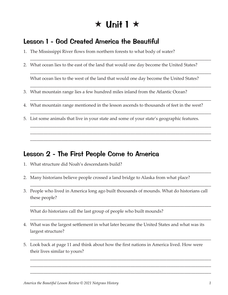# $\star$  Unit 1  $\star$

## Lesson 1 - God Created America the Beautiful

- 1. The Mississippi River flows from northern forests to what body of water?
- 2. What ocean lies to the east of the land that would one day become the United States?

What ocean lies to the west of the land that would one day become the United States?

\_\_\_\_\_\_\_\_\_\_\_\_\_\_\_\_\_\_\_\_\_\_\_\_\_\_\_\_\_\_\_\_\_\_\_\_\_\_\_\_\_\_\_\_\_\_\_\_\_\_\_\_\_\_\_\_\_\_\_\_\_\_\_\_\_\_\_\_\_\_\_\_\_\_\_\_\_\_\_\_\_

\_\_\_\_\_\_\_\_\_\_\_\_\_\_\_\_\_\_\_\_\_\_\_\_\_\_\_\_\_\_\_\_\_\_\_\_\_\_\_\_\_\_\_\_\_\_\_\_\_\_\_\_\_\_\_\_\_\_\_\_\_\_\_\_\_\_\_\_\_\_\_\_\_\_\_\_\_\_\_\_\_

\_\_\_\_\_\_\_\_\_\_\_\_\_\_\_\_\_\_\_\_\_\_\_\_\_\_\_\_\_\_\_\_\_\_\_\_\_\_\_\_\_\_\_\_\_\_\_\_\_\_\_\_\_\_\_\_\_\_\_\_\_\_\_\_\_\_\_\_\_\_\_\_\_\_\_\_\_\_\_\_\_

\_\_\_\_\_\_\_\_\_\_\_\_\_\_\_\_\_\_\_\_\_\_\_\_\_\_\_\_\_\_\_\_\_\_\_\_\_\_\_\_\_\_\_\_\_\_\_\_\_\_\_\_\_\_\_\_\_\_\_\_\_\_\_\_\_\_\_\_\_\_\_\_\_\_\_\_\_\_\_\_\_

\_\_\_\_\_\_\_\_\_\_\_\_\_\_\_\_\_\_\_\_\_\_\_\_\_\_\_\_\_\_\_\_\_\_\_\_\_\_\_\_\_\_\_\_\_\_\_\_\_\_\_\_\_\_\_\_\_\_\_\_\_\_\_\_\_\_\_\_\_\_\_\_\_\_\_\_\_\_\_\_\_

\_\_\_\_\_\_\_\_\_\_\_\_\_\_\_\_\_\_\_\_\_\_\_\_\_\_\_\_\_\_\_\_\_\_\_\_\_\_\_\_\_\_\_\_\_\_\_\_\_\_\_\_\_\_\_\_\_\_\_\_\_\_\_\_\_\_\_\_\_\_\_\_\_\_\_\_\_\_\_\_\_ \_\_\_\_\_\_\_\_\_\_\_\_\_\_\_\_\_\_\_\_\_\_\_\_\_\_\_\_\_\_\_\_\_\_\_\_\_\_\_\_\_\_\_\_\_\_\_\_\_\_\_\_\_\_\_\_\_\_\_\_\_\_\_\_\_\_\_\_\_\_\_\_\_\_\_\_\_\_\_\_\_ \_\_\_\_\_\_\_\_\_\_\_\_\_\_\_\_\_\_\_\_\_\_\_\_\_\_\_\_\_\_\_\_\_\_\_\_\_\_\_\_\_\_\_\_\_\_\_\_\_\_\_\_\_\_\_\_\_\_\_\_\_\_\_\_\_\_\_\_\_\_\_\_\_\_\_\_\_\_\_\_\_

\_\_\_\_\_\_\_\_\_\_\_\_\_\_\_\_\_\_\_\_\_\_\_\_\_\_\_\_\_\_\_\_\_\_\_\_\_\_\_\_\_\_\_\_\_\_\_\_\_\_\_\_\_\_\_\_\_\_\_\_\_\_\_\_\_\_\_\_\_\_\_\_\_\_\_\_\_\_\_\_\_

\_\_\_\_\_\_\_\_\_\_\_\_\_\_\_\_\_\_\_\_\_\_\_\_\_\_\_\_\_\_\_\_\_\_\_\_\_\_\_\_\_\_\_\_\_\_\_\_\_\_\_\_\_\_\_\_\_\_\_\_\_\_\_\_\_\_\_\_\_\_\_\_\_\_\_\_\_\_\_\_\_

\_\_\_\_\_\_\_\_\_\_\_\_\_\_\_\_\_\_\_\_\_\_\_\_\_\_\_\_\_\_\_\_\_\_\_\_\_\_\_\_\_\_\_\_\_\_\_\_\_\_\_\_\_\_\_\_\_\_\_\_\_\_\_\_\_\_\_\_\_\_\_\_\_\_\_\_\_\_\_\_\_

\_\_\_\_\_\_\_\_\_\_\_\_\_\_\_\_\_\_\_\_\_\_\_\_\_\_\_\_\_\_\_\_\_\_\_\_\_\_\_\_\_\_\_\_\_\_\_\_\_\_\_\_\_\_\_\_\_\_\_\_\_\_\_\_\_\_\_\_\_\_\_\_\_\_\_\_\_\_\_\_\_

\_\_\_\_\_\_\_\_\_\_\_\_\_\_\_\_\_\_\_\_\_\_\_\_\_\_\_\_\_\_\_\_\_\_\_\_\_\_\_\_\_\_\_\_\_\_\_\_\_\_\_\_\_\_\_\_\_\_\_\_\_\_\_\_\_\_\_\_\_\_\_\_\_\_\_\_\_\_\_\_\_

\_\_\_\_\_\_\_\_\_\_\_\_\_\_\_\_\_\_\_\_\_\_\_\_\_\_\_\_\_\_\_\_\_\_\_\_\_\_\_\_\_\_\_\_\_\_\_\_\_\_\_\_\_\_\_\_\_\_\_\_\_\_\_\_\_\_\_\_\_\_\_\_\_\_\_\_\_\_\_\_\_ \_\_\_\_\_\_\_\_\_\_\_\_\_\_\_\_\_\_\_\_\_\_\_\_\_\_\_\_\_\_\_\_\_\_\_\_\_\_\_\_\_\_\_\_\_\_\_\_\_\_\_\_\_\_\_\_\_\_\_\_\_\_\_\_\_\_\_\_\_\_\_\_\_\_\_\_\_\_\_\_\_ \_\_\_\_\_\_\_\_\_\_\_\_\_\_\_\_\_\_\_\_\_\_\_\_\_\_\_\_\_\_\_\_\_\_\_\_\_\_\_\_\_\_\_\_\_\_\_\_\_\_\_\_\_\_\_\_\_\_\_\_\_\_\_\_\_\_\_\_\_\_\_\_\_\_\_\_\_\_\_\_\_

- 3. What mountain range lies a few hundred miles inland from the Atlantic Ocean?
- 4. What mountain range mentioned in the lesson ascends to thousands of feet in the west?
- 5. List some animals that live in your state and some of your state's geographic features.

#### Lesson 2 - The First People Come to America

- 1. What structure did Noah's descendants build?
- 2. Many historians believe people crossed a land bridge to Alaska from what place?
- 3. People who lived in America long ago built thousands of mounds. What do historians call these people?

What do historians call the last group of people who built mounds?

- 4. What was the largest settlement in what later became the United States and what was its largest structure?
- 5. Look back at page 11 and think about how the first nations in America lived. How were their lives similar to yours?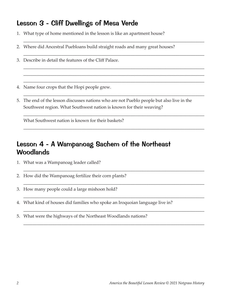## Lesson 3 - Cliff Dwellings of Mesa Verde

- 1. What type of home mentioned in the lesson is like an apartment house?
- 2. Where did Ancestral Puebloans build straight roads and many great houses?

\_\_\_\_\_\_\_\_\_\_\_\_\_\_\_\_\_\_\_\_\_\_\_\_\_\_\_\_\_\_\_\_\_\_\_\_\_\_\_\_\_\_\_\_\_\_\_\_\_\_\_\_\_\_\_\_\_\_\_\_\_\_\_\_\_\_\_\_\_\_\_\_\_\_\_\_\_\_\_\_\_

\_\_\_\_\_\_\_\_\_\_\_\_\_\_\_\_\_\_\_\_\_\_\_\_\_\_\_\_\_\_\_\_\_\_\_\_\_\_\_\_\_\_\_\_\_\_\_\_\_\_\_\_\_\_\_\_\_\_\_\_\_\_\_\_\_\_\_\_\_\_\_\_\_\_\_\_\_\_\_\_\_

\_\_\_\_\_\_\_\_\_\_\_\_\_\_\_\_\_\_\_\_\_\_\_\_\_\_\_\_\_\_\_\_\_\_\_\_\_\_\_\_\_\_\_\_\_\_\_\_\_\_\_\_\_\_\_\_\_\_\_\_\_\_\_\_\_\_\_\_\_\_\_\_\_\_\_\_\_\_\_\_\_ \_\_\_\_\_\_\_\_\_\_\_\_\_\_\_\_\_\_\_\_\_\_\_\_\_\_\_\_\_\_\_\_\_\_\_\_\_\_\_\_\_\_\_\_\_\_\_\_\_\_\_\_\_\_\_\_\_\_\_\_\_\_\_\_\_\_\_\_\_\_\_\_\_\_\_\_\_\_\_\_\_ \_\_\_\_\_\_\_\_\_\_\_\_\_\_\_\_\_\_\_\_\_\_\_\_\_\_\_\_\_\_\_\_\_\_\_\_\_\_\_\_\_\_\_\_\_\_\_\_\_\_\_\_\_\_\_\_\_\_\_\_\_\_\_\_\_\_\_\_\_\_\_\_\_\_\_\_\_\_\_\_\_

\_\_\_\_\_\_\_\_\_\_\_\_\_\_\_\_\_\_\_\_\_\_\_\_\_\_\_\_\_\_\_\_\_\_\_\_\_\_\_\_\_\_\_\_\_\_\_\_\_\_\_\_\_\_\_\_\_\_\_\_\_\_\_\_\_\_\_\_\_\_\_\_\_\_\_\_\_\_\_\_\_

\_\_\_\_\_\_\_\_\_\_\_\_\_\_\_\_\_\_\_\_\_\_\_\_\_\_\_\_\_\_\_\_\_\_\_\_\_\_\_\_\_\_\_\_\_\_\_\_\_\_\_\_\_\_\_\_\_\_\_\_\_\_\_\_\_\_\_\_\_\_\_\_\_\_\_\_\_\_\_\_\_

\_\_\_\_\_\_\_\_\_\_\_\_\_\_\_\_\_\_\_\_\_\_\_\_\_\_\_\_\_\_\_\_\_\_\_\_\_\_\_\_\_\_\_\_\_\_\_\_\_\_\_\_\_\_\_\_\_\_\_\_\_\_\_\_\_\_\_\_\_\_\_\_\_\_\_\_\_\_\_\_\_

\_\_\_\_\_\_\_\_\_\_\_\_\_\_\_\_\_\_\_\_\_\_\_\_\_\_\_\_\_\_\_\_\_\_\_\_\_\_\_\_\_\_\_\_\_\_\_\_\_\_\_\_\_\_\_\_\_\_\_\_\_\_\_\_\_\_\_\_\_\_\_\_\_\_\_\_\_\_\_\_\_

\_\_\_\_\_\_\_\_\_\_\_\_\_\_\_\_\_\_\_\_\_\_\_\_\_\_\_\_\_\_\_\_\_\_\_\_\_\_\_\_\_\_\_\_\_\_\_\_\_\_\_\_\_\_\_\_\_\_\_\_\_\_\_\_\_\_\_\_\_\_\_\_\_\_\_\_\_\_\_\_\_

\_\_\_\_\_\_\_\_\_\_\_\_\_\_\_\_\_\_\_\_\_\_\_\_\_\_\_\_\_\_\_\_\_\_\_\_\_\_\_\_\_\_\_\_\_\_\_\_\_\_\_\_\_\_\_\_\_\_\_\_\_\_\_\_\_\_\_\_\_\_\_\_\_\_\_\_\_\_\_\_\_

\_\_\_\_\_\_\_\_\_\_\_\_\_\_\_\_\_\_\_\_\_\_\_\_\_\_\_\_\_\_\_\_\_\_\_\_\_\_\_\_\_\_\_\_\_\_\_\_\_\_\_\_\_\_\_\_\_\_\_\_\_\_\_\_\_\_\_\_\_\_\_\_\_\_\_\_\_\_\_\_\_

\_\_\_\_\_\_\_\_\_\_\_\_\_\_\_\_\_\_\_\_\_\_\_\_\_\_\_\_\_\_\_\_\_\_\_\_\_\_\_\_\_\_\_\_\_\_\_\_\_\_\_\_\_\_\_\_\_\_\_\_\_\_\_\_\_\_\_\_\_\_\_\_\_\_\_\_\_\_\_\_\_

- 3. Describe in detail the features of the Cliff Palace.
- 4. Name four crops that the Hopi people grew.
- 5. The end of the lesson discusses nations who are not Pueblo people but also live in the Southwest region. What Southwest nation is known for their weaving?

What Southwest nation is known for their baskets?

# Lesson 4 - A Wampanoag Sachem of the Northeast Woodlands

- 1. What was a Wampanoag leader called?
- 2. How did the Wampanoag fertilize their corn plants?
- 3. How many people could a large mishoon hold?
- 4. What kind of houses did families who spoke an Iroquoian language live in?
- 5. What were the highways of the Northeast Woodlands nations?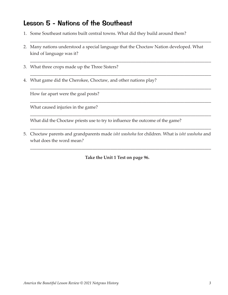## Lesson 5 - Nations of the Southeast

- 1. Some Southeast nations built central towns. What did they build around them?
- 2. Many nations understood a special language that the Choctaw Nation developed. What kind of language was it?

\_\_\_\_\_\_\_\_\_\_\_\_\_\_\_\_\_\_\_\_\_\_\_\_\_\_\_\_\_\_\_\_\_\_\_\_\_\_\_\_\_\_\_\_\_\_\_\_\_\_\_\_\_\_\_\_\_\_\_\_\_\_\_\_\_\_\_\_\_\_\_\_\_\_\_\_\_\_\_\_\_

\_\_\_\_\_\_\_\_\_\_\_\_\_\_\_\_\_\_\_\_\_\_\_\_\_\_\_\_\_\_\_\_\_\_\_\_\_\_\_\_\_\_\_\_\_\_\_\_\_\_\_\_\_\_\_\_\_\_\_\_\_\_\_\_\_\_\_\_\_\_\_\_\_\_\_\_\_\_\_\_\_

\_\_\_\_\_\_\_\_\_\_\_\_\_\_\_\_\_\_\_\_\_\_\_\_\_\_\_\_\_\_\_\_\_\_\_\_\_\_\_\_\_\_\_\_\_\_\_\_\_\_\_\_\_\_\_\_\_\_\_\_\_\_\_\_\_\_\_\_\_\_\_\_\_\_\_\_\_\_\_\_\_

\_\_\_\_\_\_\_\_\_\_\_\_\_\_\_\_\_\_\_\_\_\_\_\_\_\_\_\_\_\_\_\_\_\_\_\_\_\_\_\_\_\_\_\_\_\_\_\_\_\_\_\_\_\_\_\_\_\_\_\_\_\_\_\_\_\_\_\_\_\_\_\_\_\_\_\_\_\_\_\_\_

\_\_\_\_\_\_\_\_\_\_\_\_\_\_\_\_\_\_\_\_\_\_\_\_\_\_\_\_\_\_\_\_\_\_\_\_\_\_\_\_\_\_\_\_\_\_\_\_\_\_\_\_\_\_\_\_\_\_\_\_\_\_\_\_\_\_\_\_\_\_\_\_\_\_\_\_\_\_\_\_\_

\_\_\_\_\_\_\_\_\_\_\_\_\_\_\_\_\_\_\_\_\_\_\_\_\_\_\_\_\_\_\_\_\_\_\_\_\_\_\_\_\_\_\_\_\_\_\_\_\_\_\_\_\_\_\_\_\_\_\_\_\_\_\_\_\_\_\_\_\_\_\_\_\_\_\_\_\_\_\_\_\_

\_\_\_\_\_\_\_\_\_\_\_\_\_\_\_\_\_\_\_\_\_\_\_\_\_\_\_\_\_\_\_\_\_\_\_\_\_\_\_\_\_\_\_\_\_\_\_\_\_\_\_\_\_\_\_\_\_\_\_\_\_\_\_\_\_\_\_\_\_\_\_\_\_\_\_\_\_\_\_\_\_

\_\_\_\_\_\_\_\_\_\_\_\_\_\_\_\_\_\_\_\_\_\_\_\_\_\_\_\_\_\_\_\_\_\_\_\_\_\_\_\_\_\_\_\_\_\_\_\_\_\_\_\_\_\_\_\_\_\_\_\_\_\_\_\_\_\_\_\_\_\_\_\_\_\_\_\_\_\_\_\_\_

- 3. What three crops made up the Three Sisters?
- 4. What game did the Cherokee, Choctaw, and other nations play?

How far apart were the goal posts?

What caused injuries in the game?

What did the Choctaw priests use to try to influence the outcome of the game?

5. Choctaw parents and grandparents made *isht washoha* for children*.* What is *isht washoha* and what does the word mean*?*

**Take the Unit 1 Test on page 96.**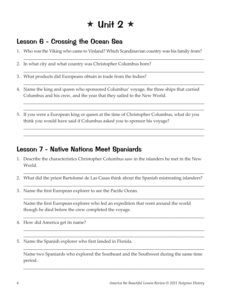# $\star$  Unit 2  $\star$

# Lesson 6 - Crossing the Ocean Sea

1. Who was the Viking who came to Vinland? Which Scandinavian country was his family from?

\_\_\_\_\_\_\_\_\_\_\_\_\_\_\_\_\_\_\_\_\_\_\_\_\_\_\_\_\_\_\_\_\_\_\_\_\_\_\_\_\_\_\_\_\_\_\_\_\_\_\_\_\_\_\_\_\_\_\_\_\_\_\_\_\_\_\_\_\_\_\_\_\_\_\_\_\_\_\_\_\_

\_\_\_\_\_\_\_\_\_\_\_\_\_\_\_\_\_\_\_\_\_\_\_\_\_\_\_\_\_\_\_\_\_\_\_\_\_\_\_\_\_\_\_\_\_\_\_\_\_\_\_\_\_\_\_\_\_\_\_\_\_\_\_\_\_\_\_\_\_\_\_\_\_\_\_\_\_\_\_\_\_

\_\_\_\_\_\_\_\_\_\_\_\_\_\_\_\_\_\_\_\_\_\_\_\_\_\_\_\_\_\_\_\_\_\_\_\_\_\_\_\_\_\_\_\_\_\_\_\_\_\_\_\_\_\_\_\_\_\_\_\_\_\_\_\_\_\_\_\_\_\_\_\_\_\_\_\_\_\_\_\_\_

\_\_\_\_\_\_\_\_\_\_\_\_\_\_\_\_\_\_\_\_\_\_\_\_\_\_\_\_\_\_\_\_\_\_\_\_\_\_\_\_\_\_\_\_\_\_\_\_\_\_\_\_\_\_\_\_\_\_\_\_\_\_\_\_\_\_\_\_\_\_\_\_\_\_\_\_\_\_\_\_\_ \_\_\_\_\_\_\_\_\_\_\_\_\_\_\_\_\_\_\_\_\_\_\_\_\_\_\_\_\_\_\_\_\_\_\_\_\_\_\_\_\_\_\_\_\_\_\_\_\_\_\_\_\_\_\_\_\_\_\_\_\_\_\_\_\_\_\_\_\_\_\_\_\_\_\_\_\_\_\_\_\_

\_\_\_\_\_\_\_\_\_\_\_\_\_\_\_\_\_\_\_\_\_\_\_\_\_\_\_\_\_\_\_\_\_\_\_\_\_\_\_\_\_\_\_\_\_\_\_\_\_\_\_\_\_\_\_\_\_\_\_\_\_\_\_\_\_\_\_\_\_\_\_\_\_\_\_\_\_\_\_\_\_ \_\_\_\_\_\_\_\_\_\_\_\_\_\_\_\_\_\_\_\_\_\_\_\_\_\_\_\_\_\_\_\_\_\_\_\_\_\_\_\_\_\_\_\_\_\_\_\_\_\_\_\_\_\_\_\_\_\_\_\_\_\_\_\_\_\_\_\_\_\_\_\_\_\_\_\_\_\_\_\_\_

- 2. In what city and what country was Christopher Columbus born?
- 3. What products did Europeans obtain in trade from the Indies?
- 4. Name the king and queen who sponsored Columbus' voyage, the three ships that carried Columbus and his crew, and the year that they sailed to the New World.
- 5. If you were a European king or queen at the time of Christopher Columbus, what do you think you would have said if Columbus asked you to sponsor his voyage?

## Lesson 7 - Native Nations Meet Spaniards

- 1. Describe the characteristics Christopher Columbus saw in the islanders he met in the New World.
- 2. What did the priest Bartolomé de Las Casas think about the Spanish mistreating islanders?

\_\_\_\_\_\_\_\_\_\_\_\_\_\_\_\_\_\_\_\_\_\_\_\_\_\_\_\_\_\_\_\_\_\_\_\_\_\_\_\_\_\_\_\_\_\_\_\_\_\_\_\_\_\_\_\_\_\_\_\_\_\_\_\_\_\_\_\_\_\_\_\_\_\_\_\_\_\_\_\_\_

\_\_\_\_\_\_\_\_\_\_\_\_\_\_\_\_\_\_\_\_\_\_\_\_\_\_\_\_\_\_\_\_\_\_\_\_\_\_\_\_\_\_\_\_\_\_\_\_\_\_\_\_\_\_\_\_\_\_\_\_\_\_\_\_\_\_\_\_\_\_\_\_\_\_\_\_\_\_\_\_\_

\_\_\_\_\_\_\_\_\_\_\_\_\_\_\_\_\_\_\_\_\_\_\_\_\_\_\_\_\_\_\_\_\_\_\_\_\_\_\_\_\_\_\_\_\_\_\_\_\_\_\_\_\_\_\_\_\_\_\_\_\_\_\_\_\_\_\_\_\_\_\_\_\_\_\_\_\_\_\_\_\_

\_\_\_\_\_\_\_\_\_\_\_\_\_\_\_\_\_\_\_\_\_\_\_\_\_\_\_\_\_\_\_\_\_\_\_\_\_\_\_\_\_\_\_\_\_\_\_\_\_\_\_\_\_\_\_\_\_\_\_\_\_\_\_\_\_\_\_\_\_\_\_\_\_\_\_\_\_\_\_\_\_

\_\_\_\_\_\_\_\_\_\_\_\_\_\_\_\_\_\_\_\_\_\_\_\_\_\_\_\_\_\_\_\_\_\_\_\_\_\_\_\_\_\_\_\_\_\_\_\_\_\_\_\_\_\_\_\_\_\_\_\_\_\_\_\_\_\_\_\_\_\_\_\_\_\_\_\_\_\_\_\_\_ \_\_\_\_\_\_\_\_\_\_\_\_\_\_\_\_\_\_\_\_\_\_\_\_\_\_\_\_\_\_\_\_\_\_\_\_\_\_\_\_\_\_\_\_\_\_\_\_\_\_\_\_\_\_\_\_\_\_\_\_\_\_\_\_\_\_\_\_\_\_\_\_\_\_\_\_\_\_\_\_\_

3. Name the first European explorer to see the Pacific Ocean.

Name the first European explorer who led an expedition that went around the world though he died before the crew completed the voyage.

- 4. How did America get its name?
- 5. Name the Spanish explorer who first landed in Florida.

Name two Spaniards who explored the Southeast and the Southwest during the same time period.

\_\_\_\_\_\_\_\_\_\_\_\_\_\_\_\_\_\_\_\_\_\_\_\_\_\_\_\_\_\_\_\_\_\_\_\_\_\_\_\_\_\_\_\_\_\_\_\_\_\_\_\_\_\_\_\_\_\_\_\_\_\_\_\_\_\_\_\_\_\_\_\_\_\_\_\_\_\_\_\_\_

\_\_\_\_\_\_\_\_\_\_\_\_\_\_\_\_\_\_\_\_\_\_\_\_\_\_\_\_\_\_\_\_\_\_\_\_\_\_\_\_\_\_\_\_\_\_\_\_\_\_\_\_\_\_\_\_\_\_\_\_\_\_\_\_\_\_\_\_\_\_\_\_\_\_\_\_\_\_\_\_\_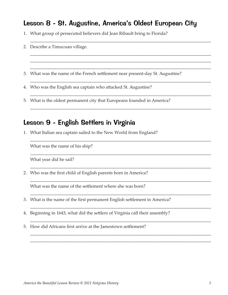#### Lesson 8 - St. Augustine, America's Oldest European City

\_\_\_\_\_\_\_\_\_\_\_\_\_\_\_\_\_\_\_\_\_\_\_\_\_\_\_\_\_\_\_\_\_\_\_\_\_\_\_\_\_\_\_\_\_\_\_\_\_\_\_\_\_\_\_\_\_\_\_\_\_\_\_\_\_\_\_\_\_\_\_\_\_\_\_\_\_\_\_\_\_

\_\_\_\_\_\_\_\_\_\_\_\_\_\_\_\_\_\_\_\_\_\_\_\_\_\_\_\_\_\_\_\_\_\_\_\_\_\_\_\_\_\_\_\_\_\_\_\_\_\_\_\_\_\_\_\_\_\_\_\_\_\_\_\_\_\_\_\_\_\_\_\_\_\_\_\_\_\_\_\_\_ \_\_\_\_\_\_\_\_\_\_\_\_\_\_\_\_\_\_\_\_\_\_\_\_\_\_\_\_\_\_\_\_\_\_\_\_\_\_\_\_\_\_\_\_\_\_\_\_\_\_\_\_\_\_\_\_\_\_\_\_\_\_\_\_\_\_\_\_\_\_\_\_\_\_\_\_\_\_\_\_\_ \_\_\_\_\_\_\_\_\_\_\_\_\_\_\_\_\_\_\_\_\_\_\_\_\_\_\_\_\_\_\_\_\_\_\_\_\_\_\_\_\_\_\_\_\_\_\_\_\_\_\_\_\_\_\_\_\_\_\_\_\_\_\_\_\_\_\_\_\_\_\_\_\_\_\_\_\_\_\_\_\_

\_\_\_\_\_\_\_\_\_\_\_\_\_\_\_\_\_\_\_\_\_\_\_\_\_\_\_\_\_\_\_\_\_\_\_\_\_\_\_\_\_\_\_\_\_\_\_\_\_\_\_\_\_\_\_\_\_\_\_\_\_\_\_\_\_\_\_\_\_\_\_\_\_\_\_\_\_\_\_\_\_

\_\_\_\_\_\_\_\_\_\_\_\_\_\_\_\_\_\_\_\_\_\_\_\_\_\_\_\_\_\_\_\_\_\_\_\_\_\_\_\_\_\_\_\_\_\_\_\_\_\_\_\_\_\_\_\_\_\_\_\_\_\_\_\_\_\_\_\_\_\_\_\_\_\_\_\_\_\_\_\_\_

\_\_\_\_\_\_\_\_\_\_\_\_\_\_\_\_\_\_\_\_\_\_\_\_\_\_\_\_\_\_\_\_\_\_\_\_\_\_\_\_\_\_\_\_\_\_\_\_\_\_\_\_\_\_\_\_\_\_\_\_\_\_\_\_\_\_\_\_\_\_\_\_\_\_\_\_\_\_\_\_\_

\_\_\_\_\_\_\_\_\_\_\_\_\_\_\_\_\_\_\_\_\_\_\_\_\_\_\_\_\_\_\_\_\_\_\_\_\_\_\_\_\_\_\_\_\_\_\_\_\_\_\_\_\_\_\_\_\_\_\_\_\_\_\_\_\_\_\_\_\_\_\_\_\_\_\_\_\_\_\_\_\_

\_\_\_\_\_\_\_\_\_\_\_\_\_\_\_\_\_\_\_\_\_\_\_\_\_\_\_\_\_\_\_\_\_\_\_\_\_\_\_\_\_\_\_\_\_\_\_\_\_\_\_\_\_\_\_\_\_\_\_\_\_\_\_\_\_\_\_\_\_\_\_\_\_\_\_\_\_\_\_\_\_

\_\_\_\_\_\_\_\_\_\_\_\_\_\_\_\_\_\_\_\_\_\_\_\_\_\_\_\_\_\_\_\_\_\_\_\_\_\_\_\_\_\_\_\_\_\_\_\_\_\_\_\_\_\_\_\_\_\_\_\_\_\_\_\_\_\_\_\_\_\_\_\_\_\_\_\_\_\_\_\_\_

\_\_\_\_\_\_\_\_\_\_\_\_\_\_\_\_\_\_\_\_\_\_\_\_\_\_\_\_\_\_\_\_\_\_\_\_\_\_\_\_\_\_\_\_\_\_\_\_\_\_\_\_\_\_\_\_\_\_\_\_\_\_\_\_\_\_\_\_\_\_\_\_\_\_\_\_\_\_\_\_\_

\_\_\_\_\_\_\_\_\_\_\_\_\_\_\_\_\_\_\_\_\_\_\_\_\_\_\_\_\_\_\_\_\_\_\_\_\_\_\_\_\_\_\_\_\_\_\_\_\_\_\_\_\_\_\_\_\_\_\_\_\_\_\_\_\_\_\_\_\_\_\_\_\_\_\_\_\_\_\_\_\_

\_\_\_\_\_\_\_\_\_\_\_\_\_\_\_\_\_\_\_\_\_\_\_\_\_\_\_\_\_\_\_\_\_\_\_\_\_\_\_\_\_\_\_\_\_\_\_\_\_\_\_\_\_\_\_\_\_\_\_\_\_\_\_\_\_\_\_\_\_\_\_\_\_\_\_\_\_\_\_\_\_

\_\_\_\_\_\_\_\_\_\_\_\_\_\_\_\_\_\_\_\_\_\_\_\_\_\_\_\_\_\_\_\_\_\_\_\_\_\_\_\_\_\_\_\_\_\_\_\_\_\_\_\_\_\_\_\_\_\_\_\_\_\_\_\_\_\_\_\_\_\_\_\_\_\_\_\_\_\_\_\_\_

\_\_\_\_\_\_\_\_\_\_\_\_\_\_\_\_\_\_\_\_\_\_\_\_\_\_\_\_\_\_\_\_\_\_\_\_\_\_\_\_\_\_\_\_\_\_\_\_\_\_\_\_\_\_\_\_\_\_\_\_\_\_\_\_\_\_\_\_\_\_\_\_\_\_\_\_\_\_\_\_\_ \_\_\_\_\_\_\_\_\_\_\_\_\_\_\_\_\_\_\_\_\_\_\_\_\_\_\_\_\_\_\_\_\_\_\_\_\_\_\_\_\_\_\_\_\_\_\_\_\_\_\_\_\_\_\_\_\_\_\_\_\_\_\_\_\_\_\_\_\_\_\_\_\_\_\_\_\_\_\_\_\_

- 1. What group of persecuted believers did Jean Ribault bring to Florida?
- 2. Describe a Timucuan village.
- 3. What was the name of the French settlement near present-day St. Augustine?
- 4. Who was the English sea captain who attacked St. Augustine?
- 5. What is the oldest permanent city that Europeans founded in America?

#### Lesson 9 - English Settlers in Virginia

1. What Italian sea captain sailed to the New World from England?

What was the name of his ship?

What year did he sail?

2. Who was the first child of English parents born in America?

What was the name of the settlement where she was born?

- 3. What is the name of the first permanent English settlement in America?
- 4. Beginning in 1643, what did the settlers of Virginia call their assembly?
- 5. How did Africans first arrive at the Jamestown settlement?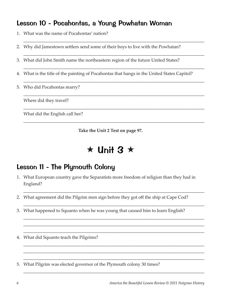# Lesson 10 - Pocahontas, a Young Powhatan Woman

- 1. What was the name of Pocahontas' nation?
- 2. Why did Jamestown settlers send some of their boys to live with the Powhatan?
- 3. What did John Smith name the northeastern region of the future United States?
- 4. What is the title of the painting of Pocahontas that hangs in the United States Capitol?

\_\_\_\_\_\_\_\_\_\_\_\_\_\_\_\_\_\_\_\_\_\_\_\_\_\_\_\_\_\_\_\_\_\_\_\_\_\_\_\_\_\_\_\_\_\_\_\_\_\_\_\_\_\_\_\_\_\_\_\_\_\_\_\_\_\_\_\_\_\_\_\_\_\_\_\_\_\_\_\_\_

\_\_\_\_\_\_\_\_\_\_\_\_\_\_\_\_\_\_\_\_\_\_\_\_\_\_\_\_\_\_\_\_\_\_\_\_\_\_\_\_\_\_\_\_\_\_\_\_\_\_\_\_\_\_\_\_\_\_\_\_\_\_\_\_\_\_\_\_\_\_\_\_\_\_\_\_\_\_\_\_\_

\_\_\_\_\_\_\_\_\_\_\_\_\_\_\_\_\_\_\_\_\_\_\_\_\_\_\_\_\_\_\_\_\_\_\_\_\_\_\_\_\_\_\_\_\_\_\_\_\_\_\_\_\_\_\_\_\_\_\_\_\_\_\_\_\_\_\_\_\_\_\_\_\_\_\_\_\_\_\_\_\_

\_\_\_\_\_\_\_\_\_\_\_\_\_\_\_\_\_\_\_\_\_\_\_\_\_\_\_\_\_\_\_\_\_\_\_\_\_\_\_\_\_\_\_\_\_\_\_\_\_\_\_\_\_\_\_\_\_\_\_\_\_\_\_\_\_\_\_\_\_\_\_\_\_\_\_\_\_\_\_\_\_

\_\_\_\_\_\_\_\_\_\_\_\_\_\_\_\_\_\_\_\_\_\_\_\_\_\_\_\_\_\_\_\_\_\_\_\_\_\_\_\_\_\_\_\_\_\_\_\_\_\_\_\_\_\_\_\_\_\_\_\_\_\_\_\_\_\_\_\_\_\_\_\_\_\_\_\_\_\_\_\_\_

\_\_\_\_\_\_\_\_\_\_\_\_\_\_\_\_\_\_\_\_\_\_\_\_\_\_\_\_\_\_\_\_\_\_\_\_\_\_\_\_\_\_\_\_\_\_\_\_\_\_\_\_\_\_\_\_\_\_\_\_\_\_\_\_\_\_\_\_\_\_\_\_\_\_\_\_\_\_\_\_\_

\_\_\_\_\_\_\_\_\_\_\_\_\_\_\_\_\_\_\_\_\_\_\_\_\_\_\_\_\_\_\_\_\_\_\_\_\_\_\_\_\_\_\_\_\_\_\_\_\_\_\_\_\_\_\_\_\_\_\_\_\_\_\_\_\_\_\_\_\_\_\_\_\_\_\_\_\_\_\_\_\_

5. Who did Pocahontas marry?

Where did they travel?

What did the English call her?

**Take the Unit 2 Test on page 97.**

# $\star$  Unit 3  $\star$

# Lesson 11 - The Plymouth Colony

1. What European country gave the Separatists more freedom of religion than they had in England?

\_\_\_\_\_\_\_\_\_\_\_\_\_\_\_\_\_\_\_\_\_\_\_\_\_\_\_\_\_\_\_\_\_\_\_\_\_\_\_\_\_\_\_\_\_\_\_\_\_\_\_\_\_\_\_\_\_\_\_\_\_\_\_\_\_\_\_\_\_\_\_\_\_\_\_\_\_\_\_\_\_

\_\_\_\_\_\_\_\_\_\_\_\_\_\_\_\_\_\_\_\_\_\_\_\_\_\_\_\_\_\_\_\_\_\_\_\_\_\_\_\_\_\_\_\_\_\_\_\_\_\_\_\_\_\_\_\_\_\_\_\_\_\_\_\_\_\_\_\_\_\_\_\_\_\_\_\_\_\_\_\_\_

\_\_\_\_\_\_\_\_\_\_\_\_\_\_\_\_\_\_\_\_\_\_\_\_\_\_\_\_\_\_\_\_\_\_\_\_\_\_\_\_\_\_\_\_\_\_\_\_\_\_\_\_\_\_\_\_\_\_\_\_\_\_\_\_\_\_\_\_\_\_\_\_\_\_\_\_\_\_\_\_\_ \_\_\_\_\_\_\_\_\_\_\_\_\_\_\_\_\_\_\_\_\_\_\_\_\_\_\_\_\_\_\_\_\_\_\_\_\_\_\_\_\_\_\_\_\_\_\_\_\_\_\_\_\_\_\_\_\_\_\_\_\_\_\_\_\_\_\_\_\_\_\_\_\_\_\_\_\_\_\_\_\_ \_\_\_\_\_\_\_\_\_\_\_\_\_\_\_\_\_\_\_\_\_\_\_\_\_\_\_\_\_\_\_\_\_\_\_\_\_\_\_\_\_\_\_\_\_\_\_\_\_\_\_\_\_\_\_\_\_\_\_\_\_\_\_\_\_\_\_\_\_\_\_\_\_\_\_\_\_\_\_\_\_

\_\_\_\_\_\_\_\_\_\_\_\_\_\_\_\_\_\_\_\_\_\_\_\_\_\_\_\_\_\_\_\_\_\_\_\_\_\_\_\_\_\_\_\_\_\_\_\_\_\_\_\_\_\_\_\_\_\_\_\_\_\_\_\_\_\_\_\_\_\_\_\_\_\_\_\_\_\_\_\_\_ \_\_\_\_\_\_\_\_\_\_\_\_\_\_\_\_\_\_\_\_\_\_\_\_\_\_\_\_\_\_\_\_\_\_\_\_\_\_\_\_\_\_\_\_\_\_\_\_\_\_\_\_\_\_\_\_\_\_\_\_\_\_\_\_\_\_\_\_\_\_\_\_\_\_\_\_\_\_\_\_\_ \_\_\_\_\_\_\_\_\_\_\_\_\_\_\_\_\_\_\_\_\_\_\_\_\_\_\_\_\_\_\_\_\_\_\_\_\_\_\_\_\_\_\_\_\_\_\_\_\_\_\_\_\_\_\_\_\_\_\_\_\_\_\_\_\_\_\_\_\_\_\_\_\_\_\_\_\_\_\_\_\_

\_\_\_\_\_\_\_\_\_\_\_\_\_\_\_\_\_\_\_\_\_\_\_\_\_\_\_\_\_\_\_\_\_\_\_\_\_\_\_\_\_\_\_\_\_\_\_\_\_\_\_\_\_\_\_\_\_\_\_\_\_\_\_\_\_\_\_\_\_\_\_\_\_\_\_\_\_\_\_\_\_

- 2. What agreement did the Pilgrim men sign before they got off the ship at Cape Cod?
- 3. What happened to Squanto when he was young that caused him to learn English?
- 4. What did Squanto teach the Pilgrims?
- 5. What Pilgrim was elected governor of the Plymouth colony 30 times?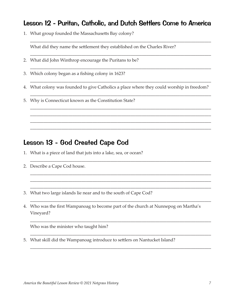#### Lesson 12 - Puritan, Catholic, and Dutch Settlers Come to America

\_\_\_\_\_\_\_\_\_\_\_\_\_\_\_\_\_\_\_\_\_\_\_\_\_\_\_\_\_\_\_\_\_\_\_\_\_\_\_\_\_\_\_\_\_\_\_\_\_\_\_\_\_\_\_\_\_\_\_\_\_\_\_\_\_\_\_\_\_\_\_\_\_\_\_\_\_\_\_\_\_

\_\_\_\_\_\_\_\_\_\_\_\_\_\_\_\_\_\_\_\_\_\_\_\_\_\_\_\_\_\_\_\_\_\_\_\_\_\_\_\_\_\_\_\_\_\_\_\_\_\_\_\_\_\_\_\_\_\_\_\_\_\_\_\_\_\_\_\_\_\_\_\_\_\_\_\_\_\_\_\_\_

\_\_\_\_\_\_\_\_\_\_\_\_\_\_\_\_\_\_\_\_\_\_\_\_\_\_\_\_\_\_\_\_\_\_\_\_\_\_\_\_\_\_\_\_\_\_\_\_\_\_\_\_\_\_\_\_\_\_\_\_\_\_\_\_\_\_\_\_\_\_\_\_\_\_\_\_\_\_\_\_\_

\_\_\_\_\_\_\_\_\_\_\_\_\_\_\_\_\_\_\_\_\_\_\_\_\_\_\_\_\_\_\_\_\_\_\_\_\_\_\_\_\_\_\_\_\_\_\_\_\_\_\_\_\_\_\_\_\_\_\_\_\_\_\_\_\_\_\_\_\_\_\_\_\_\_\_\_\_\_\_\_\_

\_\_\_\_\_\_\_\_\_\_\_\_\_\_\_\_\_\_\_\_\_\_\_\_\_\_\_\_\_\_\_\_\_\_\_\_\_\_\_\_\_\_\_\_\_\_\_\_\_\_\_\_\_\_\_\_\_\_\_\_\_\_\_\_\_\_\_\_\_\_\_\_\_\_\_\_\_\_\_\_\_

\_\_\_\_\_\_\_\_\_\_\_\_\_\_\_\_\_\_\_\_\_\_\_\_\_\_\_\_\_\_\_\_\_\_\_\_\_\_\_\_\_\_\_\_\_\_\_\_\_\_\_\_\_\_\_\_\_\_\_\_\_\_\_\_\_\_\_\_\_\_\_\_\_\_\_\_\_\_\_\_\_ \_\_\_\_\_\_\_\_\_\_\_\_\_\_\_\_\_\_\_\_\_\_\_\_\_\_\_\_\_\_\_\_\_\_\_\_\_\_\_\_\_\_\_\_\_\_\_\_\_\_\_\_\_\_\_\_\_\_\_\_\_\_\_\_\_\_\_\_\_\_\_\_\_\_\_\_\_\_\_\_\_ \_\_\_\_\_\_\_\_\_\_\_\_\_\_\_\_\_\_\_\_\_\_\_\_\_\_\_\_\_\_\_\_\_\_\_\_\_\_\_\_\_\_\_\_\_\_\_\_\_\_\_\_\_\_\_\_\_\_\_\_\_\_\_\_\_\_\_\_\_\_\_\_\_\_\_\_\_\_\_\_\_ \_\_\_\_\_\_\_\_\_\_\_\_\_\_\_\_\_\_\_\_\_\_\_\_\_\_\_\_\_\_\_\_\_\_\_\_\_\_\_\_\_\_\_\_\_\_\_\_\_\_\_\_\_\_\_\_\_\_\_\_\_\_\_\_\_\_\_\_\_\_\_\_\_\_\_\_\_\_\_\_\_

\_\_\_\_\_\_\_\_\_\_\_\_\_\_\_\_\_\_\_\_\_\_\_\_\_\_\_\_\_\_\_\_\_\_\_\_\_\_\_\_\_\_\_\_\_\_\_\_\_\_\_\_\_\_\_\_\_\_\_\_\_\_\_\_\_\_\_\_\_\_\_\_\_\_\_\_\_\_\_\_\_

\_\_\_\_\_\_\_\_\_\_\_\_\_\_\_\_\_\_\_\_\_\_\_\_\_\_\_\_\_\_\_\_\_\_\_\_\_\_\_\_\_\_\_\_\_\_\_\_\_\_\_\_\_\_\_\_\_\_\_\_\_\_\_\_\_\_\_\_\_\_\_\_\_\_\_\_\_\_\_\_\_ \_\_\_\_\_\_\_\_\_\_\_\_\_\_\_\_\_\_\_\_\_\_\_\_\_\_\_\_\_\_\_\_\_\_\_\_\_\_\_\_\_\_\_\_\_\_\_\_\_\_\_\_\_\_\_\_\_\_\_\_\_\_\_\_\_\_\_\_\_\_\_\_\_\_\_\_\_\_\_\_\_ \_\_\_\_\_\_\_\_\_\_\_\_\_\_\_\_\_\_\_\_\_\_\_\_\_\_\_\_\_\_\_\_\_\_\_\_\_\_\_\_\_\_\_\_\_\_\_\_\_\_\_\_\_\_\_\_\_\_\_\_\_\_\_\_\_\_\_\_\_\_\_\_\_\_\_\_\_\_\_\_\_

\_\_\_\_\_\_\_\_\_\_\_\_\_\_\_\_\_\_\_\_\_\_\_\_\_\_\_\_\_\_\_\_\_\_\_\_\_\_\_\_\_\_\_\_\_\_\_\_\_\_\_\_\_\_\_\_\_\_\_\_\_\_\_\_\_\_\_\_\_\_\_\_\_\_\_\_\_\_\_\_\_

\_\_\_\_\_\_\_\_\_\_\_\_\_\_\_\_\_\_\_\_\_\_\_\_\_\_\_\_\_\_\_\_\_\_\_\_\_\_\_\_\_\_\_\_\_\_\_\_\_\_\_\_\_\_\_\_\_\_\_\_\_\_\_\_\_\_\_\_\_\_\_\_\_\_\_\_\_\_\_\_\_

\_\_\_\_\_\_\_\_\_\_\_\_\_\_\_\_\_\_\_\_\_\_\_\_\_\_\_\_\_\_\_\_\_\_\_\_\_\_\_\_\_\_\_\_\_\_\_\_\_\_\_\_\_\_\_\_\_\_\_\_\_\_\_\_\_\_\_\_\_\_\_\_\_\_\_\_\_\_\_\_\_

\_\_\_\_\_\_\_\_\_\_\_\_\_\_\_\_\_\_\_\_\_\_\_\_\_\_\_\_\_\_\_\_\_\_\_\_\_\_\_\_\_\_\_\_\_\_\_\_\_\_\_\_\_\_\_\_\_\_\_\_\_\_\_\_\_\_\_\_\_\_\_\_\_\_\_\_\_\_\_\_\_

1. What group founded the Massachusetts Bay colony?

What did they name the settlement they established on the Charles River?

- 2. What did John Winthrop encourage the Puritans to be?
- 3. Which colony began as a fishing colony in 1623?
- 4. What colony was founded to give Catholics a place where they could worship in freedom?
- 5. Why is Connecticut known as the Constitution State?

#### Lesson 13 - God Created Cape Cod

- 1. What is a piece of land that juts into a lake, sea, or ocean?
- 2. Describe a Cape Cod house.
- 3. What two large islands lie near and to the south of Cape Cod?
- 4. Who was the first Wampanoag to become part of the church at Nunnepog on Martha's Vineyard?

Who was the minister who taught him?

5. What skill did the Wampanoag introduce to settlers on Nantucket Island?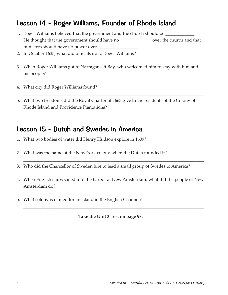# Lesson 14 - Roger Williams, Founder of Rhode Island

- 1. Roger Williams believed that the government and the church should be \_\_\_\_\_\_\_\_\_\_\_\_. He thought that the government should have no \_\_\_\_\_\_\_\_\_\_\_\_\_\_\_\_ over the church and that ministers should have no power over \_\_\_\_\_\_\_\_\_\_\_\_\_\_\_\_\_\_.
- 2. In October 1635, what did officials do to Roger Williams?
- 3. When Roger Williams got to Narragansett Bay, who welcomed him to stay with him and his people?

\_\_\_\_\_\_\_\_\_\_\_\_\_\_\_\_\_\_\_\_\_\_\_\_\_\_\_\_\_\_\_\_\_\_\_\_\_\_\_\_\_\_\_\_\_\_\_\_\_\_\_\_\_\_\_\_\_\_\_\_\_\_\_\_\_\_\_\_\_\_\_\_\_\_\_\_\_\_\_\_\_

\_\_\_\_\_\_\_\_\_\_\_\_\_\_\_\_\_\_\_\_\_\_\_\_\_\_\_\_\_\_\_\_\_\_\_\_\_\_\_\_\_\_\_\_\_\_\_\_\_\_\_\_\_\_\_\_\_\_\_\_\_\_\_\_\_\_\_\_\_\_\_\_\_\_\_\_\_\_\_\_\_

\_\_\_\_\_\_\_\_\_\_\_\_\_\_\_\_\_\_\_\_\_\_\_\_\_\_\_\_\_\_\_\_\_\_\_\_\_\_\_\_\_\_\_\_\_\_\_\_\_\_\_\_\_\_\_\_\_\_\_\_\_\_\_\_\_\_\_\_\_\_\_\_\_\_\_\_\_\_\_\_\_

\_\_\_\_\_\_\_\_\_\_\_\_\_\_\_\_\_\_\_\_\_\_\_\_\_\_\_\_\_\_\_\_\_\_\_\_\_\_\_\_\_\_\_\_\_\_\_\_\_\_\_\_\_\_\_\_\_\_\_\_\_\_\_\_\_\_\_\_\_\_\_\_\_\_\_\_\_\_\_\_\_

\_\_\_\_\_\_\_\_\_\_\_\_\_\_\_\_\_\_\_\_\_\_\_\_\_\_\_\_\_\_\_\_\_\_\_\_\_\_\_\_\_\_\_\_\_\_\_\_\_\_\_\_\_\_\_\_\_\_\_\_\_\_\_\_\_\_\_\_\_\_\_\_\_\_\_\_\_\_\_\_\_

\_\_\_\_\_\_\_\_\_\_\_\_\_\_\_\_\_\_\_\_\_\_\_\_\_\_\_\_\_\_\_\_\_\_\_\_\_\_\_\_\_\_\_\_\_\_\_\_\_\_\_\_\_\_\_\_\_\_\_\_\_\_\_\_\_\_\_\_\_\_\_\_\_\_\_\_\_\_\_\_\_

\_\_\_\_\_\_\_\_\_\_\_\_\_\_\_\_\_\_\_\_\_\_\_\_\_\_\_\_\_\_\_\_\_\_\_\_\_\_\_\_\_\_\_\_\_\_\_\_\_\_\_\_\_\_\_\_\_\_\_\_\_\_\_\_\_\_\_\_\_\_\_\_\_\_\_\_\_\_\_\_\_

\_\_\_\_\_\_\_\_\_\_\_\_\_\_\_\_\_\_\_\_\_\_\_\_\_\_\_\_\_\_\_\_\_\_\_\_\_\_\_\_\_\_\_\_\_\_\_\_\_\_\_\_\_\_\_\_\_\_\_\_\_\_\_\_\_\_\_\_\_\_\_\_\_\_\_\_\_\_\_\_\_

\_\_\_\_\_\_\_\_\_\_\_\_\_\_\_\_\_\_\_\_\_\_\_\_\_\_\_\_\_\_\_\_\_\_\_\_\_\_\_\_\_\_\_\_\_\_\_\_\_\_\_\_\_\_\_\_\_\_\_\_\_\_\_\_\_\_\_\_\_\_\_\_\_\_\_\_\_\_\_\_\_

- 4. What city did Roger Williams found?
- 5. What two freedoms did the Royal Charter of 1663 give to the residents of the Colony of Rhode Island and Providence Plantations?

#### Lesson 15 - Dutch and Swedes in America

- 1. What two bodies of water did Henry Hudson explore in 1609?
- 2. What was the name of the New York colony when the Dutch founded it?
- 3. Who did the Chancellor of Sweden hire to lead a small group of Swedes to America?
- 4. When English ships sailed into the harbor at New Amsterdam, what did the people of New Amsterdam do?
- 5. What colony is named for an island in the English Channel?

**Take the Unit 3 Test on page 98.**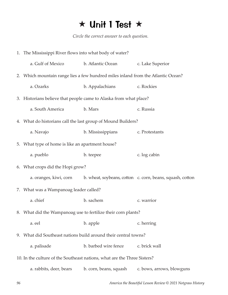# $\star$  Unit 1 Test  $\star$

*Circle the correct answer to each question.*

|                                                                          | 1. The Mississippi River flows into what body of water?                          |                                                                   |                                                           |  |  |  |
|--------------------------------------------------------------------------|----------------------------------------------------------------------------------|-------------------------------------------------------------------|-----------------------------------------------------------|--|--|--|
|                                                                          | a. Gulf of Mexico                                                                | b. Atlantic Ocean                                                 | c. Lake Superior                                          |  |  |  |
|                                                                          | 2. Which mountain range lies a few hundred miles inland from the Atlantic Ocean? |                                                                   |                                                           |  |  |  |
|                                                                          | a. Ozarks                                                                        | b. Appalachians                                                   | c. Rockies                                                |  |  |  |
|                                                                          |                                                                                  | 3. Historians believe that people came to Alaska from what place? |                                                           |  |  |  |
|                                                                          | a. South America                                                                 | b. Mars                                                           | c. Russia                                                 |  |  |  |
|                                                                          | 4. What do historians call the last group of Mound Builders?                     |                                                                   |                                                           |  |  |  |
|                                                                          | a. Navajo                                                                        | b. Mississippians                                                 | c. Protestants                                            |  |  |  |
|                                                                          | 5. What type of home is like an apartment house?                                 |                                                                   |                                                           |  |  |  |
|                                                                          | a. pueblo                                                                        | b. teepee                                                         | c. log cabin                                              |  |  |  |
|                                                                          | 6. What crops did the Hopi grow?                                                 |                                                                   |                                                           |  |  |  |
|                                                                          | a. oranges, kiwi, corn                                                           |                                                                   | b. wheat, soybeans, cotton c. corn, beans, squash, cotton |  |  |  |
|                                                                          | 7. What was a Wampanoag leader called?                                           |                                                                   |                                                           |  |  |  |
|                                                                          | a. chief                                                                         | b. sachem                                                         | c. warrior                                                |  |  |  |
|                                                                          | 8. What did the Wampanoag use to fertilize their corn plants?                    |                                                                   |                                                           |  |  |  |
|                                                                          | a. eel                                                                           | b. apple                                                          | c. herring                                                |  |  |  |
| 9.                                                                       | What did Southeast nations build around their central towns?                     |                                                                   |                                                           |  |  |  |
|                                                                          | a. palisade                                                                      | b. barbed wire fence                                              | c. brick wall                                             |  |  |  |
| 10. In the culture of the Southeast nations, what are the Three Sisters? |                                                                                  |                                                                   |                                                           |  |  |  |
|                                                                          | a. rabbits, deer, bears                                                          | b. corn, beans, squash                                            | c. bows, arrows, blowguns                                 |  |  |  |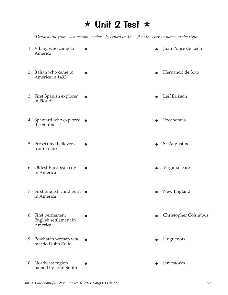# $\star$  Unit 2 Test  $\star$

*Draw a line from each person or place described on the left to the correct name on the right.*

| 1. Viking who came to<br>America                       |  | Juan Ponce de León   |
|--------------------------------------------------------|--|----------------------|
| 2. Italian who came to<br>America in 1492              |  | Hernando de Soto     |
| 3. First Spanish explorer<br>in Florida                |  | Leif Erikson         |
| 4. Spaniard who explored $\bullet$<br>the Southeast    |  | Pocahontas           |
| 5. Persecuted believers<br>from France                 |  | St. Augustine        |
| 6. Oldest European city<br>in America                  |  | Virginia Dare        |
| 7. First English child born $\bullet$<br>in America    |  | New England          |
| 8. First permanent<br>English settlement in<br>America |  | Christopher Columbus |
| 9. Powhatan woman who<br>married John Rolfe            |  | Huguenots            |

- 10. Northeast region named by John Smith
- $\bullet$  Jamestown  $\bullet$